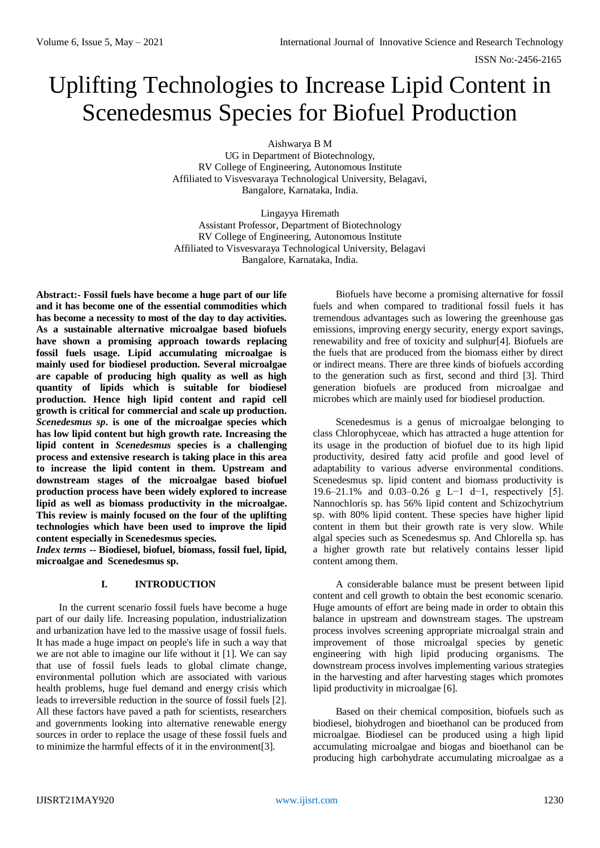# Uplifting Technologies to Increase Lipid Content in Scenedesmus Species for Biofuel Production

Aishwarya B M

UG in Department of Biotechnology, RV College of Engineering, Autonomous Institute Affiliated to Visvesvaraya Technological University, Belagavi, Bangalore, Karnataka, India.

Lingayya Hiremath Assistant Professor, Department of Biotechnology RV College of Engineering, Autonomous Institute Affiliated to Visvesvaraya Technological University, Belagavi Bangalore, Karnataka, India.

**Abstract:- Fossil fuels have become a huge part of our life and it has become one of the essential commodities which has become a necessity to most of the day to day activities. As a sustainable alternative microalgae based biofuels have shown a promising approach towards replacing fossil fuels usage. Lipid accumulating microalgae is mainly used for biodiesel production. Several microalgae are capable of producing high quality as well as high quantity of lipids which is suitable for biodiesel production. Hence high lipid content and rapid cell growth is critical for commercial and scale up production.**  *Scenedesmus sp***. is one of the microalgae species which has low lipid content but high growth rate. Increasing the lipid content in** *Scenedesmus* **species is a challenging process and extensive research is taking place in this area to increase the lipid content in them. Upstream and downstream stages of the microalgae based biofuel production process have been widely explored to increase lipid as well as biomass productivity in the microalgae. This review is mainly focused on the four of the uplifting technologies which have been used to improve the lipid content especially in Scenedesmus species.**

*Index terms* **-- Biodiesel, biofuel, biomass, fossil fuel, lipid, microalgae and Scenedesmus sp.**

# **I. INTRODUCTION**

In the current scenario fossil fuels have become a huge part of our daily life. Increasing population, industrialization and urbanization have led to the massive usage of fossil fuels. It has made a huge impact on people's life in such a way that we are not able to imagine our life without it [1]. We can say that use of fossil fuels leads to global climate change, environmental pollution which are associated with various health problems, huge fuel demand and energy crisis which leads to irreversible reduction in the source of fossil fuels [2]. All these factors have paved a path for scientists, researchers and governments looking into alternative renewable energy sources in order to replace the usage of these fossil fuels and to minimize the harmful effects of it in the environment[3].

Biofuels have become a promising alternative for fossil fuels and when compared to traditional fossil fuels it has tremendous advantages such as lowering the greenhouse gas emissions, improving energy security, energy export savings, renewability and free of toxicity and sulphur[4]. Biofuels are the fuels that are produced from the biomass either by direct or indirect means. There are three kinds of biofuels according to the generation such as first, second and third [3]. Third generation biofuels are produced from microalgae and microbes which are mainly used for biodiesel production.

Scenedesmus is a genus of microalgae belonging to class Chlorophyceae, which has attracted a huge attention for its usage in the production of biofuel due to its high lipid productivity, desired fatty acid profile and good level of adaptability to various adverse environmental conditions. Scenedesmus sp. lipid content and biomass productivity is 19.6–21.1% and 0.03–0.26 g L−1 d−1, respectively [5]. Nannochloris sp. has 56% lipid content and Schizochytrium sp. with 80% lipid content. These species have higher lipid content in them but their growth rate is very slow. While algal species such as Scenedesmus sp. And Chlorella sp. has a higher growth rate but relatively contains lesser lipid content among them.

A considerable balance must be present between lipid content and cell growth to obtain the best economic scenario. Huge amounts of effort are being made in order to obtain this balance in upstream and downstream stages. The upstream process involves screening appropriate microalgal strain and improvement of those microalgal species by genetic engineering with high lipid producing organisms. The downstream process involves implementing various strategies in the harvesting and after harvesting stages which promotes lipid productivity in microalgae [6].

Based on their chemical composition, biofuels such as biodiesel, biohydrogen and bioethanol can be produced from microalgae. Biodiesel can be produced using a high lipid accumulating microalgae and biogas and bioethanol can be producing high carbohydrate accumulating microalgae as a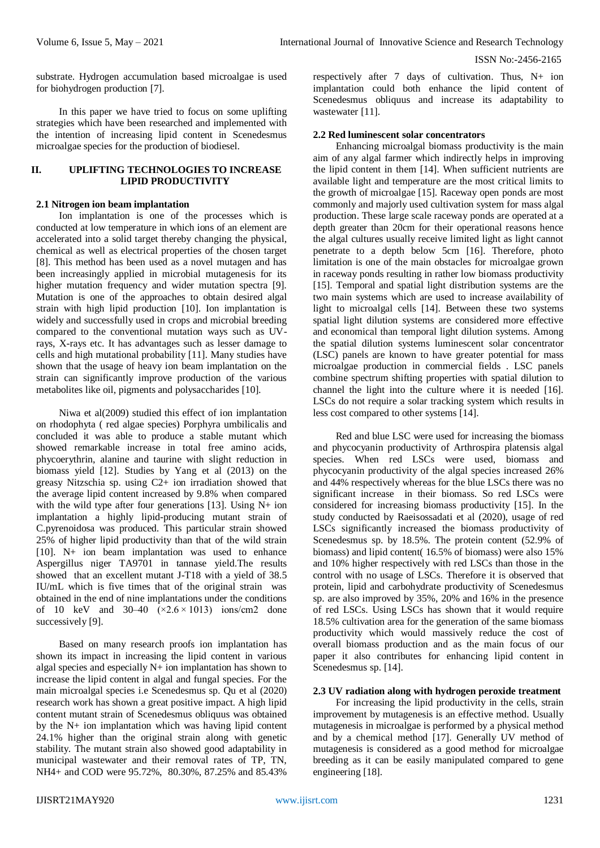substrate. Hydrogen accumulation based microalgae is used for biohydrogen production [7].

In this paper we have tried to focus on some uplifting strategies which have been researched and implemented with the intention of increasing lipid content in Scenedesmus microalgae species for the production of biodiesel.

# **II. UPLIFTING TECHNOLOGIES TO INCREASE LIPID PRODUCTIVITY**

#### **2.1 Nitrogen ion beam implantation**

Ion implantation is one of the processes which is conducted at low temperature in which ions of an element are accelerated into a solid target thereby changing the physical, chemical as well as electrical properties of the chosen target [8]. This method has been used as a novel mutagen and has been increasingly applied in microbial mutagenesis for its higher mutation frequency and wider mutation spectra [9]. Mutation is one of the approaches to obtain desired algal strain with high lipid production [10]. Ion implantation is widely and successfully used in crops and microbial breeding compared to the conventional mutation ways such as UVrays, X-rays etc. It has advantages such as lesser damage to cells and high mutational probability [11]. Many studies have shown that the usage of heavy ion beam implantation on the strain can significantly improve production of the various metabolites like oil, pigments and polysaccharides [10].

Niwa et al(2009) studied this effect of ion implantation on rhodophyta ( red algae species) Porphyra umbilicalis and concluded it was able to produce a stable mutant which showed remarkable increase in total free amino acids, phycoerythrin, alanine and taurine with slight reduction in biomass yield [12]. Studies by Yang et al (2013) on the greasy Nitzschia sp. using C2+ ion irradiation showed that the average lipid content increased by 9.8% when compared with the wild type after four generations [13]. Using N+ ion implantation a highly lipid-producing mutant strain of C.pyrenoidosa was produced. This particular strain showed 25% of higher lipid productivity than that of the wild strain [10]. N+ ion beam implantation was used to enhance Aspergillus niger TA9701 in tannase yield.The results showed that an excellent mutant J-T18 with a yield of 38.5 IU/mL which is five times that of the original strain was obtained in the end of nine implantations under the conditions of 10 keV and 30–40  $(\times2.6 \times 1013)$  ions/cm2 done successively [9].

Based on many research proofs ion implantation has shown its impact in increasing the lipid content in various algal species and especially N+ ion implantation has shown to increase the lipid content in algal and fungal species. For the main microalgal species i.e Scenedesmus sp. Qu et al (2020) research work has shown a great positive impact. A high lipid content mutant strain of Scenedesmus obliquus was obtained by the N+ ion implantation which was having lipid content 24.1% higher than the original strain along with genetic stability. The mutant strain also showed good adaptability in municipal wastewater and their removal rates of TP, TN, NH4+ and COD were 95.72%, 80.30%, 87.25% and 85.43%

respectively after 7 days of cultivation. Thus, N+ ion implantation could both enhance the lipid content of Scenedesmus obliquus and increase its adaptability to wastewater [11].

#### **2.2 Red luminescent solar concentrators**

Enhancing microalgal biomass productivity is the main aim of any algal farmer which indirectly helps in improving the lipid content in them [14]. When sufficient nutrients are available light and temperature are the most critical limits to the growth of microalgae [15]. Raceway open ponds are most commonly and majorly used cultivation system for mass algal production. These large scale raceway ponds are operated at a depth greater than 20cm for their operational reasons hence the algal cultures usually receive limited light as light cannot penetrate to a depth below 5cm [16]. Therefore, photo limitation is one of the main obstacles for microalgae grown in raceway ponds resulting in rather low biomass productivity [15]. Temporal and spatial light distribution systems are the two main systems which are used to increase availability of light to microalgal cells [14]. Between these two systems spatial light dilution systems are considered more effective and economical than temporal light dilution systems. Among the spatial dilution systems luminescent solar concentrator (LSC) panels are known to have greater potential for mass microalgae production in commercial fields . LSC panels combine spectrum shifting properties with spatial dilution to channel the light into the culture where it is needed [16]. LSCs do not require a solar tracking system which results in less cost compared to other systems [14].

Red and blue LSC were used for increasing the biomass and phycocyanin productivity of Arthrospira platensis algal species. When red LSCs were used, biomass and phycocyanin productivity of the algal species increased 26% and 44% respectively whereas for the blue LSCs there was no significant increase in their biomass. So red LSCs were considered for increasing biomass productivity [15]. In the study conducted by Raeisossadati et al (2020), usage of red LSCs significantly increased the biomass productivity of Scenedesmus sp. by 18.5%. The protein content (52.9% of biomass) and lipid content( 16.5% of biomass) were also 15% and 10% higher respectively with red LSCs than those in the control with no usage of LSCs. Therefore it is observed that protein, lipid and carbohydrate productivity of Scenedesmus sp. are also improved by 35%, 20% and 16% in the presence of red LSCs. Using LSCs has shown that it would require 18.5% cultivation area for the generation of the same biomass productivity which would massively reduce the cost of overall biomass production and as the main focus of our paper it also contributes for enhancing lipid content in Scenedesmus sp. [14].

# **2.3 UV radiation along with hydrogen peroxide treatment**

For increasing the lipid productivity in the cells, strain improvement by mutagenesis is an effective method. Usually mutagenesis in microalgae is performed by a physical method and by a chemical method [17]. Generally UV method of mutagenesis is considered as a good method for microalgae breeding as it can be easily manipulated compared to gene engineering [18].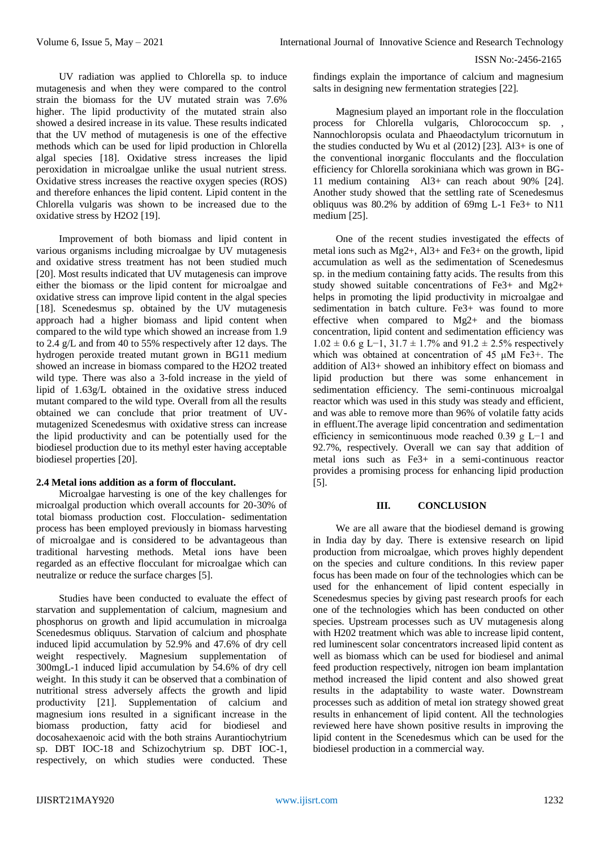UV radiation was applied to Chlorella sp. to induce mutagenesis and when they were compared to the control strain the biomass for the UV mutated strain was 7.6% higher. The lipid productivity of the mutated strain also showed a desired increase in its value. These results indicated that the UV method of mutagenesis is one of the effective methods which can be used for lipid production in Chlorella algal species [18]. Oxidative stress increases the lipid peroxidation in microalgae unlike the usual nutrient stress. Oxidative stress increases the reactive oxygen species (ROS) and therefore enhances the lipid content. Lipid content in the Chlorella vulgaris was shown to be increased due to the oxidative stress by H2O2 [19].

Improvement of both biomass and lipid content in various organisms including microalgae by UV mutagenesis and oxidative stress treatment has not been studied much [20]. Most results indicated that UV mutagenesis can improve either the biomass or the lipid content for microalgae and oxidative stress can improve lipid content in the algal species [18]. Scenedesmus sp. obtained by the UV mutagenesis approach had a higher biomass and lipid content when compared to the wild type which showed an increase from 1.9 to 2.4 g/L and from 40 to 55% respectively after 12 days. The hydrogen peroxide treated mutant grown in BG11 medium showed an increase in biomass compared to the H2O2 treated wild type. There was also a 3-fold increase in the yield of lipid of 1.63g/L obtained in the oxidative stress induced mutant compared to the wild type. Overall from all the results obtained we can conclude that prior treatment of UVmutagenized Scenedesmus with oxidative stress can increase the lipid productivity and can be potentially used for the biodiesel production due to its methyl ester having acceptable biodiesel properties [20].

# **2.4 Metal ions addition as a form of flocculant.**

Microalgae harvesting is one of the key challenges for microalgal production which overall accounts for 20-30% of total biomass production cost. Flocculation- sedimentation process has been employed previously in biomass harvesting of microalgae and is considered to be advantageous than traditional harvesting methods. Metal ions have been regarded as an effective flocculant for microalgae which can neutralize or reduce the surface charges [5].

Studies have been conducted to evaluate the effect of starvation and supplementation of calcium, magnesium and phosphorus on growth and lipid accumulation in microalga Scenedesmus obliquus. Starvation of calcium and phosphate induced lipid accumulation by 52.9% and 47.6% of dry cell weight respectively. Magnesium supplementation of 300mgL-1 induced lipid accumulation by 54.6% of dry cell weight. In this study it can be observed that a combination of nutritional stress adversely affects the growth and lipid productivity [21]. Supplementation of calcium and magnesium ions resulted in a significant increase in the biomass production, fatty acid for biodiesel and docosahexaenoic acid with the both strains Aurantiochytrium sp. DBT IOC-18 and Schizochytrium sp. DBT IOC-1, respectively, on which studies were conducted. These

findings explain the importance of calcium and magnesium salts in designing new fermentation strategies [22].

Magnesium played an important role in the flocculation process for Chlorella vulgaris, Chlorococcum sp. Nannochloropsis oculata and Phaeodactylum tricornutum in the studies conducted by Wu et al (2012) [23]. Al3+ is one of the conventional inorganic flocculants and the flocculation efficiency for Chlorella sorokiniana which was grown in BG-11 medium containing Al3+ can reach about 90% [24]. Another study showed that the settling rate of Scenedesmus obliquus was 80.2% by addition of 69mg L-1 Fe3+ to N11 medium [25].

One of the recent studies investigated the effects of metal ions such as Mg2+, Al3+ and Fe3+ on the growth, lipid accumulation as well as the sedimentation of Scenedesmus sp. in the medium containing fatty acids. The results from this study showed suitable concentrations of Fe3+ and Mg2+ helps in promoting the lipid productivity in microalgae and sedimentation in batch culture. Fe3+ was found to more effective when compared to Mg2+ and the biomass concentration, lipid content and sedimentation efficiency was  $1.02 \pm 0.6$  g L−1, 31.7  $\pm$  1.7% and 91.2  $\pm$  2.5% respectively which was obtained at concentration of 45 μM Fe3+. The addition of Al3+ showed an inhibitory effect on biomass and lipid production but there was some enhancement in sedimentation efficiency. The semi-continuous microalgal reactor which was used in this study was steady and efficient, and was able to remove more than 96% of volatile fatty acids in effluent.The average lipid concentration and sedimentation efficiency in semicontinuous mode reached 0.39 g L−1 and 92.7%, respectively. Overall we can say that addition of metal ions such as Fe3+ in a semi-continuous reactor provides a promising process for enhancing lipid production [5].

#### **III. CONCLUSION**

We are all aware that the biodiesel demand is growing in India day by day. There is extensive research on lipid production from microalgae, which proves highly dependent on the species and culture conditions. In this review paper focus has been made on four of the technologies which can be used for the enhancement of lipid content especially in Scenedesmus species by giving past research proofs for each one of the technologies which has been conducted on other species. Upstream processes such as UV mutagenesis along with H202 treatment which was able to increase lipid content, red luminescent solar concentrators increased lipid content as well as biomass which can be used for biodiesel and animal feed production respectively, nitrogen ion beam implantation method increased the lipid content and also showed great results in the adaptability to waste water. Downstream processes such as addition of metal ion strategy showed great results in enhancement of lipid content. All the technologies reviewed here have shown positive results in improving the lipid content in the Scenedesmus which can be used for the biodiesel production in a commercial way.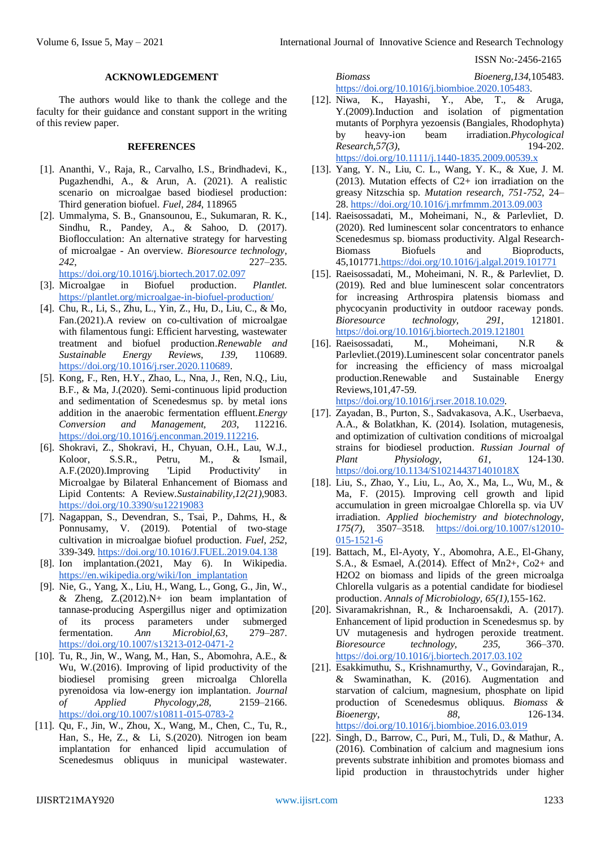#### **ACKNOWLEDGEMENT**

The authors would like to thank the college and the faculty for their guidance and constant support in the writing of this review paper.

#### **REFERENCES**

- [1]. Ananthi, V., Raja, R., Carvalho, I.S., Brindhadevi, K., Pugazhendhi, A., & Arun, A. (2021). A realistic scenario on microalgae based biodiesel production: Third generation biofuel. *Fuel*, *284*, 118965
- [2]. Ummalyma, S. B., Gnansounou, E., Sukumaran, R. K., Sindhu, R., Pandey, A., & Sahoo, D. (2017). Bioflocculation: An alternative strategy for harvesting of microalgae - An overview. *Bioresource technology*, *242*, 227–235.

<https://doi.org/10.1016/j.biortech.2017.02.097>

- [3]. Microalgae in Biofuel production. *Plantlet.* <https://plantlet.org/microalgae-in-biofuel-production/>
- [4]. Chu, R., Li, S., Zhu, L., Yin, Z., Hu, D., Liu, C., & Mo, Fan.(2021).A review on co-cultivation of microalgae with filamentous fungi: Efficient harvesting, wastewater treatment and biofuel production.*Renewable and Sustainable Energy Reviews, 139,* 110689. [https://doi.org/10.1016/j.rser.2020.110689.](https://doi.org/10.1016/j.rser.2020.110689)
- [5]. Kong, F., Ren, H.Y., Zhao, L., Nna, J., Ren, N.Q., Liu, B.F., & Ma, J.(2020). Semi-continuous lipid production and sedimentation of Scenedesmus sp. by metal ions addition in the anaerobic fermentation effluent.*Energy Conversion and Management, 203*, 112216. [https://doi.org/10.1016/j.enconman.2019.112216.](https://doi.org/10.1016/j.enconman.2019.112216)
- [6]. Shokravi, Z., Shokravi, H., Chyuan, O.H., Lau, W.J., Koloor, S.S.R., Petru, M., & Ismail, A.F.(2020).Improving 'Lipid Productivity' in Microalgae by Bilateral Enhancement of Biomass and Lipid Contents: A Review.*Sustainability,12(21)*,9083. <https://doi.org/10.3390/su12219083>
- [7]. Nagappan, S., Devendran, S., Tsai, P., Dahms, H., & Ponnusamy, V. (2019). Potential of two-stage cultivation in microalgae biofuel production. *Fuel, 252*, 339-349.<https://doi.org/10.1016/J.FUEL.2019.04.138>
- [8]. Ion implantation.(2021, May 6). In Wikipedia. [https://en.wikipedia.org/wiki/Ion\\_implantation](https://en.wikipedia.org/wiki/Ion_implantation)
- [9]. Nie, G., Yang, X., Liu, H., Wang, L., Gong, G., Jin, W., & Zheng,  $Z(2012)$ . N+ ion beam implantation of tannase-producing Aspergillus niger and optimization of its process parameters under submerged fermentation. *Ann Microbiol,63*, 279–287. <https://doi.org/10.1007/s13213-012-0471-2>
- [10]. Tu, R., Jin, W., Wang, M., Han, S., Abomohra, A.E., & Wu, W.(2016). Improving of lipid productivity of the biodiesel promising green microalga Chlorella pyrenoidosa via low-energy ion implantation. *Journal of Applied Phycology,28,* 2159–2166. <https://doi.org/10.1007/s10811-015-0783-2>
- [11]. Qu, F., Jin, W., Zhou, X., Wang, M., Chen, C., Tu, R., Han, S., He, Z., & Li, S.(2020). Nitrogen ion beam implantation for enhanced lipid accumulation of Scenedesmus obliquus in municipal wastewater.

# *Biomass Bioenerg,134,*105483.

[https://doi.org/10.1016/j.biombioe.2020.105483.](https://doi.org/10.1016/j.biombioe.2020.105483)

- [12]. Niwa, K., Hayashi, Y., Abe, T., & Aruga, Y.(2009).Induction and isolation of pigmentation mutants of Porphyra yezoensis (Bangiales, Rhodophyta) by heavy-ion beam irradiation.*Phycological Research,57(3)*, 194-202. <https://doi.org/10.1111/j.1440-1835.2009.00539.x>
- [13]. Yang, Y. N., Liu, C. L., Wang, Y. K., & Xue, J. M. (2013). Mutation effects of  $C2+$  ion irradiation on the greasy Nitzschia sp. *Mutation research, 751-752*, 24– 28.<https://doi.org/10.1016/j.mrfmmm.2013.09.003>
- [14]. Raeisossadati, M., Moheimani, N., & Parlevliet, D. (2020). Red luminescent solar concentrators to enhance Scenedesmus sp. biomass productivity. Algal Research-<br>Biomass Biofuels and Bioproducts, Biofuels and Bioproducts, 45,101771[.https://doi.org/10.1016/j.algal.2019.101771](https://doi.org/10.1016/j.algal.2019.101771)
- [15]. Raeisossadati, M., Moheimani, N. R., & Parlevliet, D. (2019). Red and blue luminescent solar concentrators for increasing Arthrospira platensis biomass and phycocyanin productivity in outdoor raceway ponds. *Bioresource technology, 291,* 121801. <https://doi.org/10.1016/j.biortech.2019.121801>
- [16]. Raeisossadati, M., Moheimani, N.R & Parlevliet.(2019).Luminescent solar concentrator panels for increasing the efficiency of mass microalgal production.Renewable and Sustainable Energy Reviews,101,47-59.

[https://doi.org/10.1016/j.rser.2018.10.029.](https://doi.org/10.1016/j.rser.2018.10.029)

- [17]. Zayadan, B., Purton, S., Sadvakasova, A.К., Userbaeva, A.A., & Bolatkhan, K. (2014). Isolation, mutagenesis, and optimization of cultivation conditions of microalgal strains for biodiesel production. *Russian Journal of Plant Physiology, 61,* 124-130. <https://doi.org/10.1134/S102144371401018X>
- [18]. Liu, S., Zhao, Y., Liu, L., Ao, X., Ma, L., Wu, M., & Ma, F. (2015). Improving cell growth and lipid accumulation in green microalgae Chlorella sp. via UV irradiation. *Applied biochemistry and biotechnology, 175(7),* 3507–3518. [https://doi.org/10.1007/s12010-](https://doi.org/10.1007/s12010-015-1521-6) [015-1521-6](https://doi.org/10.1007/s12010-015-1521-6)
- [19]. Battach, M., El-Ayoty, Y., Abomohra, A.E., El-Ghany, S.A., & Esmael, A.(2014). Effect of Mn2+, Co2+ and H2O2 on biomass and lipids of the green microalga Chlorella vulgaris as a potential candidate for biodiesel production. *Annals of Microbiology, 65(1),*155-162.
- [20]. Sivaramakrishnan, R., & Incharoensakdi, A. (2017). Enhancement of lipid production in Scenedesmus sp. by UV mutagenesis and hydrogen peroxide treatment. *Bioresource technology, 235,* 366–370. <https://doi.org/10.1016/j.biortech.2017.03.102>
- [21]. Esakkimuthu, S., Krishnamurthy, V., Govindarajan, R., & Swaminathan, K. (2016). Augmentation and starvation of calcium, magnesium, phosphate on lipid production of Scenedesmus obliquus. *Biomass & Bioenergy, 88,* 126-134. <https://doi.org/10.1016/j.biombioe.2016.03.019>
- [22]. Singh, D., Barrow, C., Puri, M., Tuli, D., & Mathur, A. (2016). Combination of calcium and magnesium ions prevents substrate inhibition and promotes biomass and lipid production in thraustochytrids under higher